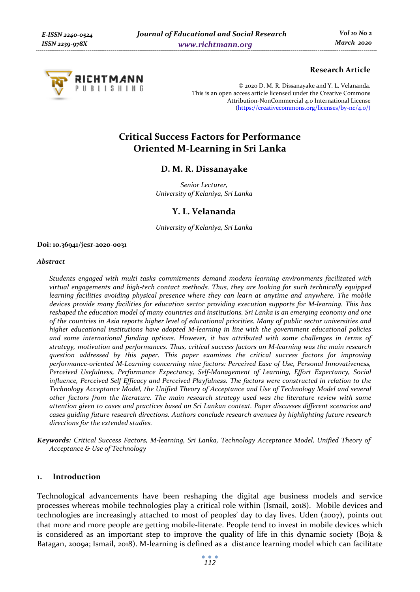

# **Research Article**

© 2020 D. M. R. Dissanayake and Y. L. Velananda. This is an open access article licensed under the Creative Commons Attribution-NonCommercial 4.0 International License (https://creativecommons.org/licenses/by-nc/4.0/)

# **Critical Success Factors for Performance Oriented M-Learning in Sri Lanka**

# **D. M. R. Dissanayake**

*Senior Lecturer, University of Kelaniya, Sri Lanka* 

# **Y. L. Velananda**

*University of Kelaniya, Sri Lanka* 

#### **Doi: 10.36941/jesr-2020-0031**

#### *Abstract*

*Students engaged with multi tasks commitments demand modern learning environments facilitated with virtual engagements and high-tech contact methods. Thus, they are looking for such technically equipped learning facilities avoiding physical presence where they can learn at anytime and anywhere. The mobile devices provide many facilities for education sector providing execution supports for M-learning. This has reshaped the education model of many countries and institutions. Sri Lanka is an emerging economy and one of the countries in Asia reports higher level of educational priorities. Many of public sector universities and higher educational institutions have adopted M-learning in line with the government educational policies and some international funding options. However, it has attributed with some challenges in terms of strategy, motivation and performances. Thus, critical success factors on M-learning was the main research question addressed by this paper. This paper examines the critical success factors for improving performance-oriented M-Learning concerning nine factors: Perceived Ease of Use, Personal Innovativeness, Perceived Usefulness, Performance Expectancy, Self-Management of Learning, Effort Expectancy, Social influence, Perceived Self Efficacy and Perceived Playfulness. The factors were constructed in relation to the Technology Acceptance Model, the Unified Theory of Acceptance and Use of Technology Model and several other factors from the literature. The main research strategy used was the literature review with some attention given to cases and practices based on Sri Lankan context. Paper discusses different scenarios and cases guiding future research directions. Authors conclude research avenues by highlighting future research directions for the extended studies.* 

*Keywords: Critical Success Factors, M-learning, Sri Lanka, Technology Acceptance Model, Unified Theory of Acceptance & Use of Technology* 

#### **1. Introduction**

Technological advancements have been reshaping the digital age business models and service processes whereas mobile technologies play a critical role within (Ismail, 2018). Mobile devices and technologies are increasingly attached to most of peoples' day to day lives. Uden (2007), points out that more and more people are getting mobile-literate. People tend to invest in mobile devices which is considered as an important step to improve the quality of life in this dynamic society (Boja & Batagan, 2009a; Ismail, 2018). M-learning is defined as a distance learning model which can facilitate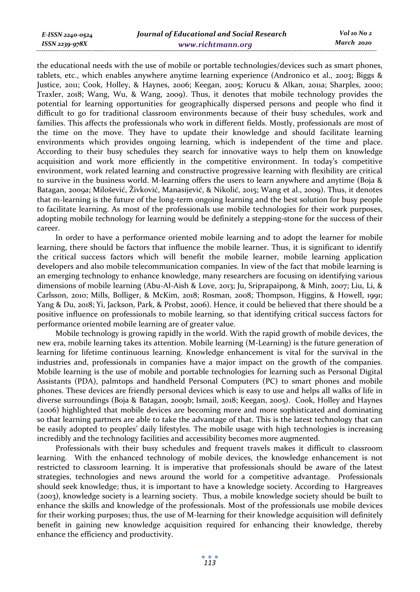*E-ISSN 2240-0524 ISSN 2239-978X*

the educational needs with the use of mobile or portable technologies/devices such as smart phones, tablets, etc., which enables anywhere anytime learning experience (Andronico et al., 2003; Biggs & Justice, 2011; Cook, Holley, & Haynes, 2006; Keegan, 2005; Korucu & Alkan, 2011a; Sharples, 2000; Traxler, 2018; Wang, Wu, & Wang, 2009). Thus, it denotes that mobile technology provides the potential for learning opportunities for geographically dispersed persons and people who find it difficult to go for traditional classroom environments because of their busy schedules, work and families. This affects the professionals who work in different fields. Mostly, professionals are most of the time on the move. They have to update their knowledge and should facilitate learning environments which provides ongoing learning, which is independent of the time and place. According to their busy schedules they search for innovative ways to help them on knowledge acquisition and work more efficiently in the competitive environment. In today's competitive environment, work related learning and constructive progressive learning with flexibility are critical to survive in the business world. M-learning offers the users to learn anywhere and anytime (Boja & Batagan, 2009a; Milošević, Živković, Manasijević, & Nikolić, 2015; Wang et al., 2009). Thus, it denotes that m-learning is the future of the long-term ongoing learning and the best solution for busy people to facilitate learning. As most of the professionals use mobile technologies for their work purposes, adopting mobile technology for learning would be definitely a stepping-stone for the success of their career.

In order to have a performance oriented mobile learning and to adopt the learner for mobile learning, there should be factors that influence the mobile learner. Thus, it is significant to identify the critical success factors which will benefit the mobile learner, mobile learning application developers and also mobile telecommunication companies. In view of the fact that mobile learning is an emerging technology to enhance knowledge, many researchers are focusing on identifying various dimensions of mobile learning (Abu-Al-Aish & Love, 2013; Ju, Sriprapaipong, & Minh, 2007; Liu, Li, & Carlsson, 2010; Mills, Bolliger, & McKim, 2018; Rosman, 2008; Thompson, Higgins, & Howell, 1991; Yang & Du, 2018; Yi, Jackson, Park, & Probst, 2006). Hence, it could be believed that there should be a positive influence on professionals to mobile learning, so that identifying critical success factors for performance oriented mobile learning are of greater value.

Mobile technology is growing rapidly in the world. With the rapid growth of mobile devices, the new era, mobile learning takes its attention. Mobile learning (M-Learning) is the future generation of learning for lifetime continuous learning. Knowledge enhancement is vital for the survival in the industries and, professionals in companies have a major impact on the growth of the companies. Mobile learning is the use of mobile and portable technologies for learning such as Personal Digital Assistants (PDA), palmtops and handheld Personal Computers (PC) to smart phones and mobile phones. These devices are friendly personal devices which is easy to use and helps all walks of life in diverse surroundings (Boja & Batagan, 2009b; Ismail, 2018; Keegan, 2005). Cook, Holley and Haynes (2006) highlighted that mobile devices are becoming more and more sophisticated and dominating so that learning partners are able to take the advantage of that. This is the latest technology that can be easily adopted to peoples' daily lifestyles. The mobile usage with high technologies is increasing incredibly and the technology facilities and accessibility becomes more augmented.

Professionals with their busy schedules and frequent travels makes it difficult to classroom learning. With the enhanced technology of mobile devices, the knowledge enhancement is not restricted to classroom learning. It is imperative that professionals should be aware of the latest strategies, technologies and news around the world for a competitive advantage. Professionals should seek knowledge; thus, it is important to have a knowledge society. According to Hargreaves (2003), knowledge society is a learning society. Thus, a mobile knowledge society should be built to enhance the skills and knowledge of the professionals. Most of the professionals use mobile devices for their working purposes; thus, the use of M-learning for their knowledge acquisition will definitely benefit in gaining new knowledge acquisition required for enhancing their knowledge, thereby enhance the efficiency and productivity.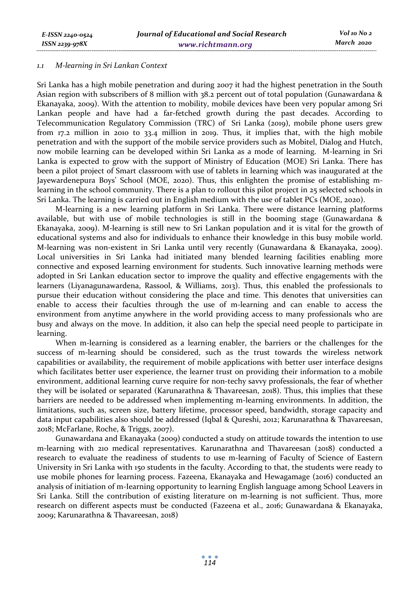#### *1.1 M-learning in Sri Lankan Context*

Sri Lanka has a high mobile penetration and during 2007 it had the highest penetration in the South Asian region with subscribers of 8 million with 38.2 percent out of total population (Gunawardana & Ekanayaka, 2009). With the attention to mobility, mobile devices have been very popular among Sri Lankan people and have had a far-fetched growth during the past decades. According to Telecommunication Regulatory Commission (TRC) of Sri Lanka (2019), mobile phone users grew from 17.2 million in 2010 to 33.4 million in 2019. Thus, it implies that, with the high mobile penetration and with the support of the mobile service providers such as Mobitel, Dialog and Hutch, now mobile learning can be developed within Sri Lanka as a mode of learning. M-learning in Sri Lanka is expected to grow with the support of Ministry of Education (MOE) Sri Lanka. There has been a pilot project of Smart classroom with use of tablets in learning which was inaugurated at the Jayewardenepura Boys' School (MOE, 2020). Thus, this enlighten the promise of establishing mlearning in the school community. There is a plan to rollout this pilot project in 25 selected schools in Sri Lanka. The learning is carried out in English medium with the use of tablet PCs (MOE, 2020).

M-learning is a new learning platform in Sri Lanka. There were distance learning platforms available, but with use of mobile technologies is still in the booming stage (Gunawardana & Ekanayaka, 2009). M-learning is still new to Sri Lankan population and it is vital for the growth of educational systems and also for individuals to enhance their knowledge in this busy mobile world. M-learning was non-existent in Sri Lanka until very recently (Gunawardana & Ekanayaka, 2009). Local universities in Sri Lanka had initiated many blended learning facilities enabling more connective and exposed learning environment for students. Such innovative learning methods were adopted in Sri Lankan education sector to improve the quality and effective engagements with the learners (Liyanagunawardena, Rassool, & Williams, 2013). Thus, this enabled the professionals to pursue their education without considering the place and time. This denotes that universities can enable to access their faculties through the use of m-learning and can enable to access the environment from anytime anywhere in the world providing access to many professionals who are busy and always on the move. In addition, it also can help the special need people to participate in learning.

When m-learning is considered as a learning enabler, the barriers or the challenges for the success of m-learning should be considered, such as the trust towards the wireless network capabilities or availability, the requirement of mobile applications with better user interface designs which facilitates better user experience, the learner trust on providing their information to a mobile environment, additional learning curve require for non-techy savvy professionals, the fear of whether they will be isolated or separated (Karunarathna & Thavareesan, 2018). Thus, this implies that these barriers are needed to be addressed when implementing m-learning environments. In addition, the limitations, such as, screen size, battery lifetime, processor speed, bandwidth, storage capacity and data input capabilities also should be addressed (Iqbal & Qureshi, 2012; Karunarathna & Thavareesan, 2018; McFarlane, Roche, & Triggs, 2007).

Gunawardana and Ekanayaka (2009) conducted a study on attitude towards the intention to use m-learning with 210 medical representatives. Karunarathna and Thavareesan (2018) conducted a research to evaluate the readiness of students to use m-learning of Faculty of Science of Eastern University in Sri Lanka with 150 students in the faculty. According to that, the students were ready to use mobile phones for learning process. Fazeena, Ekanayaka and Hewagamage (2016) conducted an analysis of initiation of m-Iearning opportunity to learning English language among School Leavers in Sri Lanka. Still the contribution of existing literature on m-learning is not sufficient. Thus, more research on different aspects must be conducted (Fazeena et al., 2016; Gunawardana & Ekanayaka, 2009; Karunarathna & Thavareesan, 2018)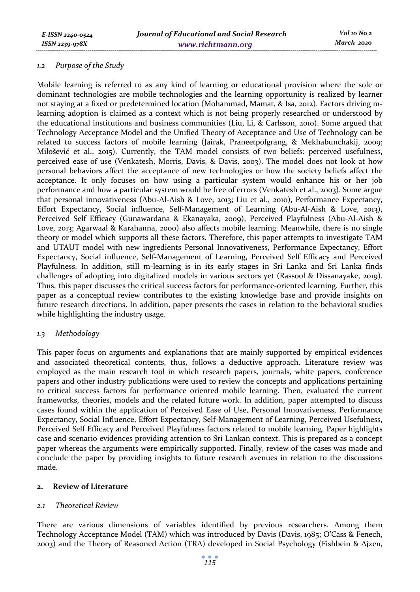# *1.2 Purpose of the Study*

Mobile learning is referred to as any kind of learning or educational provision where the sole or dominant technologies are mobile technologies and the learning opportunity is realized by learner not staying at a fixed or predetermined location (Mohammad, Mamat, & Isa, 2012). Factors driving mlearning adoption is claimed as a context which is not being properly researched or understood by the educational institutions and business communities (Liu, Li, & Carlsson, 2010). Some argued that Technology Acceptance Model and the Unified Theory of Acceptance and Use of Technology can be related to success factors of mobile learning (Jairak, Praneetpolgrang, & Mekhabunchakij, 2009; Milošević et al., 2015). Currently, the TAM model consists of two beliefs: perceived usefulness, perceived ease of use (Venkatesh, Morris, Davis, & Davis, 2003). The model does not look at how personal behaviors affect the acceptance of new technologies or how the society beliefs affect the acceptance. It only focuses on how using a particular system would enhance his or her job performance and how a particular system would be free of errors (Venkatesh et al., 2003). Some argue that personal innovativeness (Abu-Al-Aish & Love, 2013; Liu et al., 2010), Performance Expectancy, Effort Expectancy, Social influence, Self-Management of Learning (Abu-Al-Aish & Love, 2013), Perceived Self Efficacy (Gunawardana & Ekanayaka, 2009), Perceived Playfulness (Abu-Al-Aish & Love, 2013; Agarwaal & Karahanna, 2000) also affects mobile learning. Meanwhile, there is no single theory or model which supports all these factors. Therefore, this paper attempts to investigate TAM and UTAUT model with new ingredients Personal Innovativeness, Performance Expectancy, Effort Expectancy, Social influence, Self-Management of Learning, Perceived Self Efficacy and Perceived Playfulness. In addition, still m-learning is in its early stages in Sri Lanka and Sri Lanka finds challenges of adopting into digitalized models in various sectors yet (Rassool & Dissanayake, 2019). Thus, this paper discusses the critical success factors for performance-oriented learning. Further, this paper as a conceptual review contributes to the existing knowledge base and provide insights on future research directions. In addition, paper presents the cases in relation to the behavioral studies while highlighting the industry usage.

# *1.3 Methodology*

This paper focus on arguments and explanations that are mainly supported by empirical evidences and associated theoretical contents, thus, follows a deductive approach. Literature review was employed as the main research tool in which research papers, journals, white papers, conference papers and other industry publications were used to review the concepts and applications pertaining to critical success factors for performance oriented mobile learning. Then, evaluated the current frameworks, theories, models and the related future work. In addition, paper attempted to discuss cases found within the application of Perceived Ease of Use, Personal Innovativeness, Performance Expectancy, Social Influence, Effort Expectancy, Self-Management of Learning, Perceived Usefulness, Perceived Self Efficacy and Perceived Playfulness factors related to mobile learning. Paper highlights case and scenario evidences providing attention to Sri Lankan context. This is prepared as a concept paper whereas the arguments were empirically supported. Finally, review of the cases was made and conclude the paper by providing insights to future research avenues in relation to the discussions made.

# **2. Review of Literature**

# *2.1 Theoretical Review*

There are various dimensions of variables identified by previous researchers. Among them Technology Acceptance Model (TAM) which was introduced by Davis (Davis, 1985; O'Cass & Fenech, 2003) and the Theory of Reasoned Action (TRA) developed in Social Psychology (Fishbein & Ajzen,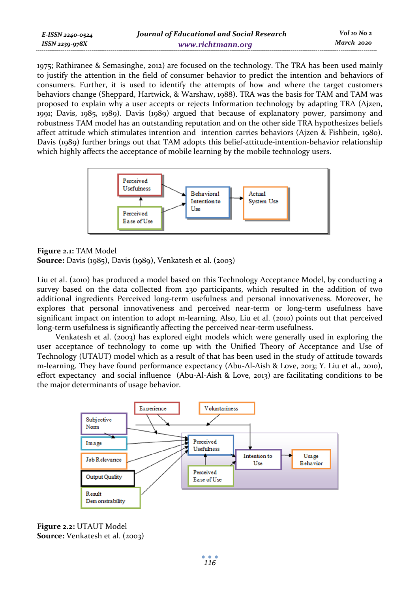| E-ISSN 2240-0524 | Journal of Educational and Social Research | Vol 10 No 2 |
|------------------|--------------------------------------------|-------------|
| ISSN 2239-978X   | www.richtmann.org                          | March 2020  |

1975; Rathiranee & Semasinghe, 2012) are focused on the technology. The TRA has been used mainly to justify the attention in the field of consumer behavior to predict the intention and behaviors of consumers. Further, it is used to identify the attempts of how and where the target customers behaviors change (Sheppard, Hartwick, & Warshaw, 1988). TRA was the basis for TAM and TAM was proposed to explain why a user accepts or rejects Information technology by adapting TRA (Ajzen, 1991; Davis, 1985, 1989). Davis (1989) argued that because of explanatory power, parsimony and robustness TAM model has an outstanding reputation and on the other side TRA hypothesizes beliefs affect attitude which stimulates intention and intention carries behaviors (Ajzen & Fishbein, 1980). Davis (1989) further brings out that TAM adopts this belief-attitude-intention-behavior relationship which highly affects the acceptance of mobile learning by the mobile technology users.



# **Figure 2.1:** TAM Model

**Source:** Davis (1985), Davis (1989), Venkatesh et al. (2003)

Liu et al. (2010) has produced a model based on this Technology Acceptance Model, by conducting a survey based on the data collected from 230 participants, which resulted in the addition of two additional ingredients Perceived long-term usefulness and personal innovativeness. Moreover, he explores that personal innovativeness and perceived near-term or long-term usefulness have significant impact on intention to adopt m-learning. Also, Liu et al. (2010) points out that perceived long-term usefulness is significantly affecting the perceived near-term usefulness.

Venkatesh et al. (2003) has explored eight models which were generally used in exploring the user acceptance of technology to come up with the Unified Theory of Acceptance and Use of Technology (UTAUT) model which as a result of that has been used in the study of attitude towards m-learning. They have found performance expectancy (Abu-Al-Aish & Love, 2013; Y. Liu et al., 2010), effort expectancy and social influence (Abu-Al-Aish & Love, 2013) are facilitating conditions to be the major determinants of usage behavior.



**Figure 2.2:** UTAUT Model **Source:** Venkatesh et al. (2003)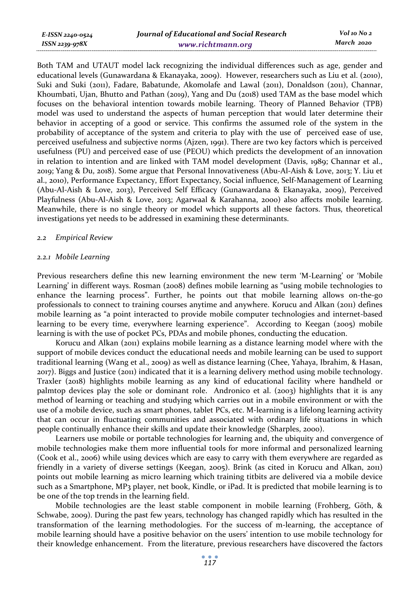| E-ISSN 2240-0524 | Journal of Educational and Social Research | Vol 10 No 2 |
|------------------|--------------------------------------------|-------------|
| ISSN 2239-978X   | www.richtmann.org                          | March 2020  |

Both TAM and UTAUT model lack recognizing the individual differences such as age, gender and educational levels (Gunawardana & Ekanayaka, 2009). However, researchers such as Liu et al. (2010), Suki and Suki (2011), Fadare, Babatunde, Akomolafe and Lawal (2011), Donaldson (2011), Channar, Khoumbati, Ujan, Bhutto and Pathan (2019), Yang and Du (2018) used TAM as the base model which focuses on the behavioral intention towards mobile learning. Theory of Planned Behavior (TPB) model was used to understand the aspects of human perception that would later determine their behavior in accepting of a good or service. This confirms the assumed role of the system in the probability of acceptance of the system and criteria to play with the use of perceived ease of use, perceived usefulness and subjective norms (Ajzen, 1991). There are two key factors which is perceived usefulness (PU) and perceived ease of use (PEOU) which predicts the development of an innovation in relation to intention and are linked with TAM model development (Davis, 1989; Channar et al., 2019; Yang & Du, 2018). Some argue that Personal Innovativeness (Abu-Al-Aish & Love, 2013; Y. Liu et al., 2010), Performance Expectancy, Effort Expectancy, Social influence, Self-Management of Learning (Abu-Al-Aish & Love, 2013), Perceived Self Efficacy (Gunawardana & Ekanayaka, 2009), Perceived Playfulness (Abu-Al-Aish & Love, 2013; Agarwaal & Karahanna, 2000) also affects mobile learning. Meanwhile, there is no single theory or model which supports all these factors. Thus, theoretical investigations yet needs to be addressed in examining these determinants.

#### *2.2 Empirical Review*

#### *2.2.1 Mobile Learning*

Previous researchers define this new learning environment the new term 'M-Learning' or 'Mobile Learning' in different ways. Rosman (2008) defines mobile learning as "using mobile technologies to enhance the learning process". Further, he points out that mobile learning allows on-the-go professionals to connect to training courses anytime and anywhere. Korucu and Alkan (2011) defines mobile learning as "a point interacted to provide mobile computer technologies and internet-based learning to be every time, everywhere learning experience". According to Keegan (2005) mobile learning is with the use of pocket PCs, PDAs and mobile phones, conducting the education.

Korucu and Alkan (2011) explains mobile learning as a distance learning model where with the support of mobile devices conduct the educational needs and mobile learning can be used to support traditional learning (Wang et al., 2009) as well as distance learning (Chee, Yahaya, Ibrahim, & Hasan, 2017). Biggs and Justice (2011) indicated that it is a learning delivery method using mobile technology. Traxler (2018) highlights mobile learning as any kind of educational facility where handheld or palmtop devices play the sole or dominant role. Andronico et al. (2003) highlights that it is any method of learning or teaching and studying which carries out in a mobile environment or with the use of a mobile device, such as smart phones, tablet PCs, etc. M-learning is a lifelong learning activity that can occur in fluctuating communities and associated with ordinary life situations in which people continually enhance their skills and update their knowledge (Sharples, 2000).

Learners use mobile or portable technologies for learning and, the ubiquity and convergence of mobile technologies make them more influential tools for more informal and personalized learning (Cook et al., 2006) while using devices which are easy to carry with them everywhere are regarded as friendly in a variety of diverse settings (Keegan, 2005). Brink (as cited in Korucu and Alkan, 2011) points out mobile learning as micro learning which training titbits are delivered via a mobile device such as a Smartphone, MP3 player, net book, Kindle, or iPad. It is predicted that mobile learning is to be one of the top trends in the learning field.

Mobile technologies are the least stable component in mobile learning (Frohberg, Göth, & Schwabe, 2009). During the past few years, technology has changed rapidly which has resulted in the transformation of the learning methodologies. For the success of m-learning, the acceptance of mobile learning should have a positive behavior on the users' intention to use mobile technology for their knowledge enhancement. From the literature, previous researchers have discovered the factors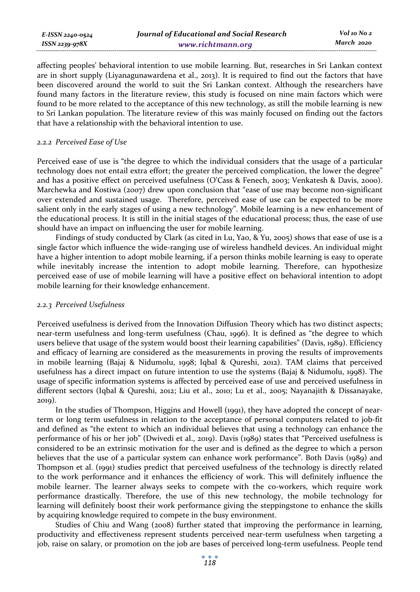| E-ISSN 2240-0524 | Journal of Educational and Social Research | Vol 10 No 2 |
|------------------|--------------------------------------------|-------------|
| ISSN 2239-978X   | www.richtmann.org                          | March 2020  |

affecting peoples' behavioral intention to use mobile learning. But, researches in Sri Lankan context are in short supply (Liyanagunawardena et al., 2013). It is required to find out the factors that have been discovered around the world to suit the Sri Lankan context. Although the researchers have found many factors in the literature review, this study is focused on nine main factors which were found to be more related to the acceptance of this new technology, as still the mobile learning is new to Sri Lankan population. The literature review of this was mainly focused on finding out the factors that have a relationship with the behavioral intention to use.

#### *2.2.2 Perceived Ease of Use*

Perceived ease of use is "the degree to which the individual considers that the usage of a particular technology does not entail extra effort; the greater the perceived complication, the lower the degree" and has a positive effect on perceived usefulness (O'Cass & Fenech, 2003; Venkatesh & Davis, 2000). Marchewka and Kostiwa (2007) drew upon conclusion that "ease of use may become non-significant over extended and sustained usage. Therefore, perceived ease of use can be expected to be more salient only in the early stages of using a new technology". Mobile learning is a new enhancement of the educational process. It is still in the initial stages of the educational process; thus, the ease of use should have an impact on influencing the user for mobile learning.

Findings of study conducted by Clark (as cited in Lu, Yao, & Yu, 2005) shows that ease of use is a single factor which influence the wide-ranging use of wireless handheld devices. An individual might have a higher intention to adopt mobile learning, if a person thinks mobile learning is easy to operate while inevitably increase the intention to adopt mobile learning. Therefore, can hypothesize perceived ease of use of mobile learning will have a positive effect on behavioral intention to adopt mobile learning for their knowledge enhancement.

# *2.2.3 Perceived Usefulness*

Perceived usefulness is derived from the Innovation Diffusion Theory which has two distinct aspects; near-term usefulness and long-term usefulness (Chau, 1996). It is defined as "the degree to which users believe that usage of the system would boost their learning capabilities" (Davis, 1989). Efficiency and efficacy of learning are considered as the measurements in proving the results of improvements in mobile learning (Bajaj & Nidumolu, 1998; Iqbal & Qureshi, 2012). TAM claims that perceived usefulness has a direct impact on future intention to use the systems (Bajaj & Nidumolu, 1998). The usage of specific information systems is affected by perceived ease of use and perceived usefulness in different sectors (Iqbal & Qureshi, 2012; Liu et al., 2010; Lu et al., 2005; Nayanajith & Dissanayake, 2019).

In the studies of Thompson, Higgins and Howell (1991), they have adopted the concept of nearterm or long term usefulness in relation to the acceptance of personal computers related to job-fit and defined as "the extent to which an individual believes that using a technology can enhance the performance of his or her job" (Dwivedi et al., 2019). Davis (1989) states that "Perceived usefulness is considered to be an extrinsic motivation for the user and is defined as the degree to which a person believes that the use of a particular system can enhance work performance". Both Davis (1989) and Thompson et al. (1991) studies predict that perceived usefulness of the technology is directly related to the work performance and it enhances the efficiency of work. This will definitely influence the mobile learner. The learner always seeks to compete with the co-workers, which require work performance drastically. Therefore, the use of this new technology, the mobile technology for learning will definitely boost their work performance giving the steppingstone to enhance the skills by acquiring knowledge required to compete in the busy environment.

Studies of Chiu and Wang (2008) further stated that improving the performance in learning, productivity and effectiveness represent students perceived near-term usefulness when targeting a job, raise on salary, or promotion on the job are bases of perceived long-term usefulness. People tend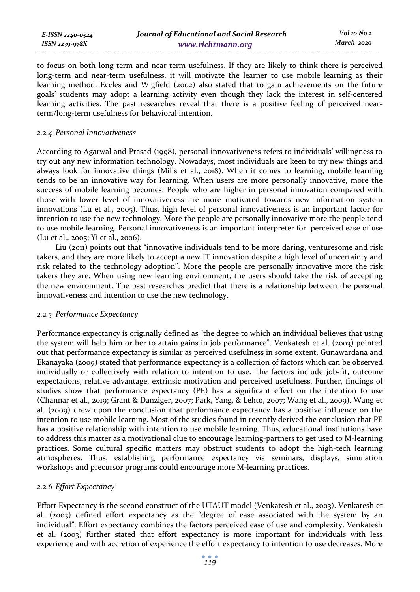| E-ISSN 2240-0524 | Journal of Educational and Social Research | Vol 10 No 2 |
|------------------|--------------------------------------------|-------------|
| ISSN 2239-978X   | www.richtmann.org                          | March 2020  |

to focus on both long-term and near-term usefulness. If they are likely to think there is perceived long-term and near-term usefulness, it will motivate the learner to use mobile learning as their learning method. Eccles and Wigfield (2002) also stated that to gain achievements on the future goals' students may adopt a learning activity even though they lack the interest in self-centered learning activities. The past researches reveal that there is a positive feeling of perceived nearterm/long-term usefulness for behavioral intention.

### *2.2.4 Personal Innovativeness*

According to Agarwal and Prasad (1998), personal innovativeness refers to individuals' willingness to try out any new information technology. Nowadays, most individuals are keen to try new things and always look for innovative things (Mills et al., 2018). When it comes to learning, mobile learning tends to be an innovative way for learning. When users are more personally innovative, more the success of mobile learning becomes. People who are higher in personal innovation compared with those with lower level of innovativeness are more motivated towards new information system innovations (Lu et al., 2005). Thus, high level of personal innovativeness is an important factor for intention to use the new technology. More the people are personally innovative more the people tend to use mobile learning. Personal innovativeness is an important interpreter for perceived ease of use (Lu et al., 2005; Yi et al., 2006).

Liu (2011) points out that "innovative individuals tend to be more daring, venturesome and risk takers, and they are more likely to accept a new IT innovation despite a high level of uncertainty and risk related to the technology adoption". More the people are personally innovative more the risk takers they are. When using new learning environment, the users should take the risk of accepting the new environment. The past researches predict that there is a relationship between the personal innovativeness and intention to use the new technology.

# *2.2.5 Performance Expectancy*

Performance expectancy is originally defined as "the degree to which an individual believes that using the system will help him or her to attain gains in job performance". Venkatesh et al. (2003) pointed out that performance expectancy is similar as perceived usefulness in some extent. Gunawardana and Ekanayaka (2009) stated that performance expectancy is a collection of factors which can be observed individually or collectively with relation to intention to use. The factors include job-fit, outcome expectations, relative advantage, extrinsic motivation and perceived usefulness. Further, findings of studies show that performance expectancy (PE) has a significant effect on the intention to use (Channar et al., 2019; Grant & Danziger, 2007; Park, Yang, & Lehto, 2007; Wang et al., 2009). Wang et al. (2009) drew upon the conclusion that performance expectancy has a positive influence on the intention to use mobile learning. Most of the studies found in recently derived the conclusion that PE has a positive relationship with intention to use mobile learning. Thus, educational institutions have to address this matter as a motivational clue to encourage learning-partners to get used to M-learning practices. Some cultural specific matters may obstruct students to adopt the high-tech learning atmospheres. Thus, establishing performance expectancy via seminars, displays, simulation workshops and precursor programs could encourage more M-learning practices.

# *2.2.6 Effort Expectancy*

Effort Expectancy is the second construct of the UTAUT model (Venkatesh et al., 2003). Venkatesh et al. (2003) defined effort expectancy as the "degree of ease associated with the system by an individual". Effort expectancy combines the factors perceived ease of use and complexity. Venkatesh et al. (2003) further stated that effort expectancy is more important for individuals with less experience and with accretion of experience the effort expectancy to intention to use decreases. More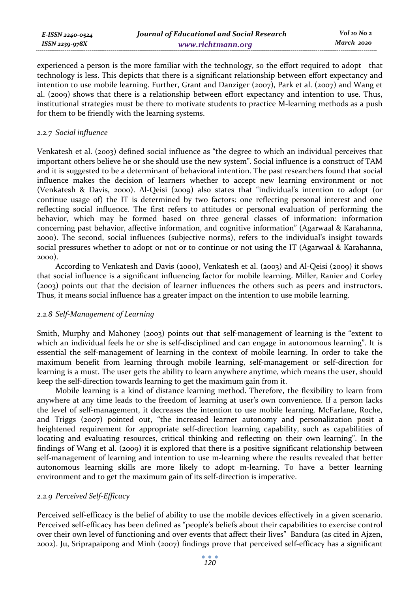| E-ISSN 2240-0524    | Journal of Educational and Social Research | Vol 10 No 2 |
|---------------------|--------------------------------------------|-------------|
| $ISSN$ 2239-97 $8X$ | www.richtmann.org                          | March 2020  |

experienced a person is the more familiar with the technology, so the effort required to adopt that technology is less. This depicts that there is a significant relationship between effort expectancy and intention to use mobile learning. Further, Grant and Danziger (2007), Park et al. (2007) and Wang et al. (2009) shows that there is a relationship between effort expectancy and intention to use. Thus, institutional strategies must be there to motivate students to practice M-learning methods as a push for them to be friendly with the learning systems.

# *2.2.7 Social influence*

Venkatesh et al. (2003) defined social influence as "the degree to which an individual perceives that important others believe he or she should use the new system". Social influence is a construct of TAM and it is suggested to be a determinant of behavioral intention. The past researchers found that social influence makes the decision of learners whether to accept new learning environment or not (Venkatesh & Davis, 2000). Al-Qeisi (2009) also states that "individual's intention to adopt (or continue usage of) the IT is determined by two factors: one reflecting personal interest and one reflecting social influence. The first refers to attitudes or personal evaluation of performing the behavior, which may be formed based on three general classes of information: information concerning past behavior, affective information, and cognitive information" (Agarwaal & Karahanna, 2000). The second, social influences (subjective norms), refers to the individual's insight towards social pressures whether to adopt or not or to continue or not using the IT (Agarwaal & Karahanna, 2000).

According to Venkatesh and Davis (2000), Venkatesh et al. (2003) and Al-Qeisi (2009) it shows that social influence is a significant influencing factor for mobile learning. Miller, Ranier and Corley (2003) points out that the decision of learner influences the others such as peers and instructors. Thus, it means social influence has a greater impact on the intention to use mobile learning.

# *2.2.8 Self-Management of Learning*

Smith, Murphy and Mahoney (2003) points out that self-management of learning is the "extent to which an individual feels he or she is self-disciplined and can engage in autonomous learning". It is essential the self-management of learning in the context of mobile learning. In order to take the maximum benefit from learning through mobile learning, self-management or self-direction for learning is a must. The user gets the ability to learn anywhere anytime, which means the user, should keep the self-direction towards learning to get the maximum gain from it.

Mobile learning is a kind of distance learning method. Therefore, the flexibility to learn from anywhere at any time leads to the freedom of learning at user's own convenience. If a person lacks the level of self-management, it decreases the intention to use mobile learning. McFarlane, Roche, and Triggs (2007) pointed out, "the increased learner autonomy and personalization posit a heightened requirement for appropriate self-direction learning capability, such as capabilities of locating and evaluating resources, critical thinking and reflecting on their own learning". In the findings of Wang et al. (2009) it is explored that there is a positive significant relationship between self-management of learning and intention to use m-learning where the results revealed that better autonomous learning skills are more likely to adopt m-learning. To have a better learning environment and to get the maximum gain of its self-direction is imperative.

# *2.2.9 Perceived Self-Efficacy*

Perceived self-efficacy is the belief of ability to use the mobile devices effectively in a given scenario. Perceived self-efficacy has been defined as "people's beliefs about their capabilities to exercise control over their own level of functioning and over events that affect their lives" Bandura (as cited in Ajzen, 2002). Ju, Sriprapaipong and Minh (2007) findings prove that perceived self-efficacy has a significant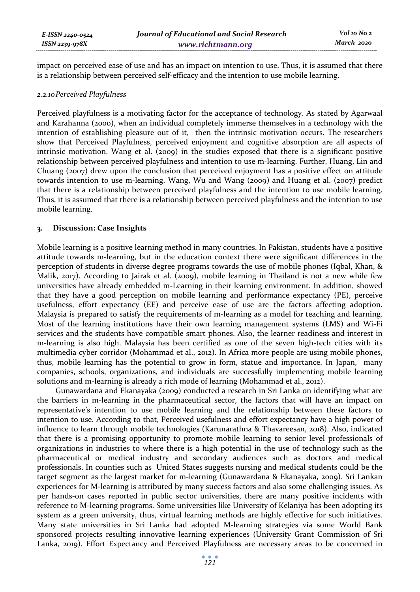impact on perceived ease of use and has an impact on intention to use. Thus, it is assumed that there is a relationship between perceived self-efficacy and the intention to use mobile learning.

### *2.2.10Perceived Playfulness*

Perceived playfulness is a motivating factor for the acceptance of technology. As stated by Agarwaal and Karahanna (2000), when an individual completely immerse themselves in a technology with the intention of establishing pleasure out of it, then the intrinsic motivation occurs. The researchers show that Perceived Playfulness, perceived enjoyment and cognitive absorption are all aspects of intrinsic motivation. Wang et al. (2009) in the studies exposed that there is a significant positive relationship between perceived playfulness and intention to use m-learning. Further, Huang, Lin and Chuang (2007) drew upon the conclusion that perceived enjoyment has a positive effect on attitude towards intention to use m-learning. Wang, Wu and Wang (2009) and Huang et al. (2007) predict that there is a relationship between perceived playfulness and the intention to use mobile learning. Thus, it is assumed that there is a relationship between perceived playfulness and the intention to use mobile learning.

# **3. Discussion: Case Insights**

Mobile learning is a positive learning method in many countries. In Pakistan, students have a positive attitude towards m-learning, but in the education context there were significant differences in the perception of students in diverse degree programs towards the use of mobile phones (Iqbal, Khan, & Malik, 2017). According to Jairak et al. (2009), mobile learning in Thailand is not a new while few universities have already embedded m-Learning in their learning environment. In addition, showed that they have a good perception on mobile learning and performance expectancy (PE), perceive usefulness, effort expectancy (EE) and perceive ease of use are the factors affecting adoption. Malaysia is prepared to satisfy the requirements of m-learning as a model for teaching and learning. Most of the learning institutions have their own learning management systems (LMS) and Wi-Fi services and the students have compatible smart phones. Also, the learner readiness and interest in m-learning is also high. Malaysia has been certified as one of the seven high-tech cities with its multimedia cyber corridor (Mohammad et al., 2012). In Africa more people are using mobile phones, thus, mobile learning has the potential to grow in form, statue and importance. In Japan, many companies, schools, organizations, and individuals are successfully implementing mobile learning solutions and m-learning is already a rich mode of learning (Mohammad et al., 2012).

Gunawardana and Ekanayaka (2009) conducted a research in Sri Lanka on identifying what are the barriers in m-learning in the pharmaceutical sector, the factors that will have an impact on representative's intention to use mobile learning and the relationship between these factors to intention to use. According to that, Perceived usefulness and effort expectancy have a high power of influence to learn through mobile technologies (Karunarathna & Thavareesan, 2018). Also, indicated that there is a promising opportunity to promote mobile learning to senior level professionals of organizations in industries to where there is a high potential in the use of technology such as the pharmaceutical or medical industry and secondary audiences such as doctors and medical professionals. In counties such as United States suggests nursing and medical students could be the target segment as the largest market for m-learning (Gunawardana & Ekanayaka, 2009). Sri Lankan experiences for M-learning is attributed by many success factors and also some challenging issues. As per hands-on cases reported in public sector universities, there are many positive incidents with reference to M-learning programs. Some universities like University of Kelaniya has been adopting its system as a green university, thus, virtual learning methods are highly effective for such initiatives. Many state universities in Sri Lanka had adopted M-learning strategies via some World Bank sponsored projects resulting innovative learning experiences (University Grant Commission of Sri Lanka, 2019). Effort Expectancy and Perceived Playfulness are necessary areas to be concerned in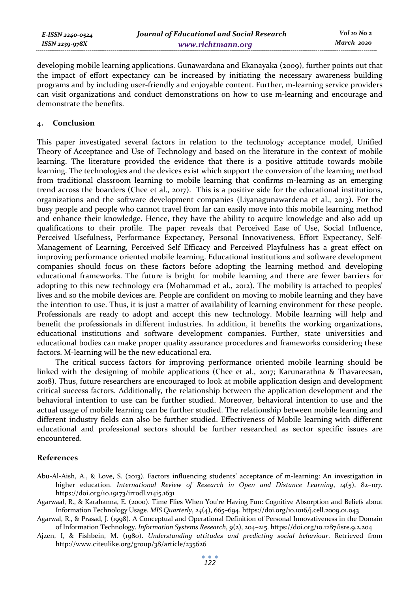| E-ISSN 2240-0524    | Journal of Educational and Social Research | Vol 10 No 2 |
|---------------------|--------------------------------------------|-------------|
| $ISSN$ 2239-97 $8X$ | www.richtmann.org                          | March 2020  |

developing mobile learning applications. Gunawardana and Ekanayaka (2009), further points out that the impact of effort expectancy can be increased by initiating the necessary awareness building programs and by including user-friendly and enjoyable content. Further, m-learning service providers can visit organizations and conduct demonstrations on how to use m-learning and encourage and demonstrate the benefits.

# **4. Conclusion**

This paper investigated several factors in relation to the technology acceptance model, Unified Theory of Acceptance and Use of Technology and based on the literature in the context of mobile learning. The literature provided the evidence that there is a positive attitude towards mobile learning. The technologies and the devices exist which support the conversion of the learning method from traditional classroom learning to mobile learning that confirms m-learning as an emerging trend across the boarders (Chee et al., 2017). This is a positive side for the educational institutions, organizations and the software development companies (Liyanagunawardena et al., 2013). For the busy people and people who cannot travel from far can easily move into this mobile learning method and enhance their knowledge. Hence, they have the ability to acquire knowledge and also add up qualifications to their profile. The paper reveals that Perceived Ease of Use, Social Influence, Perceived Usefulness, Performance Expectancy, Personal Innovativeness, Effort Expectancy, Self-Management of Learning, Perceived Self Efficacy and Perceived Playfulness has a great effect on improving performance oriented mobile learning. Educational institutions and software development companies should focus on these factors before adopting the learning method and developing educational frameworks. The future is bright for mobile learning and there are fewer barriers for adopting to this new technology era (Mohammad et al., 2012). The mobility is attached to peoples' lives and so the mobile devices are. People are confident on moving to mobile learning and they have the intention to use. Thus, it is just a matter of availability of learning environment for these people. Professionals are ready to adopt and accept this new technology. Mobile learning will help and benefit the professionals in different industries. In addition, it benefits the working organizations, educational institutions and software development companies. Further, state universities and educational bodies can make proper quality assurance procedures and frameworks considering these factors. M-learning will be the new educational era.

The critical success factors for improving performance oriented mobile learning should be linked with the designing of mobile applications (Chee et al., 2017; Karunarathna & Thavareesan, 2018). Thus, future researchers are encouraged to look at mobile application design and development critical success factors. Additionally, the relationship between the application development and the behavioral intention to use can be further studied. Moreover, behavioral intention to use and the actual usage of mobile learning can be further studied. The relationship between mobile learning and different industry fields can also be further studied. Effectiveness of Mobile learning with different educational and professional sectors should be further researched as sector specific issues are encountered.

# **References**

- Abu-Al-Aish, A., & Love, S. (2013). Factors influencing students' acceptance of m-learning: An investigation in higher education. *International Review of Research in Open and Distance Learning*, *14*(5), 82–107. https://doi.org/10.19173/irrodl.v14i5.1631
- Agarwaal, R., & Karahanna, E. (2000). Time Flies When You're Having Fun: Cognitive Absorption and Beliefs about Information Technology Usage. *MIS Quarterly*, *24*(4), 665–694. https://doi.org/10.1016/j.cell.2009.01.043
- Agarwal, R., & Prasad, J. (1998). A Conceptual and Operational Definition of Personal Innovativeness in the Domain of Information Technology. *Information Systems Research*, *9*(2), 204–215. https://doi.org/10.1287/isre.9.2.204
- Ajzen, I, & Fishbein, M. (1980). *Understanding attitudes and predicting social behaviour*. Retrieved from http://www.citeulike.org/group/38/article/235626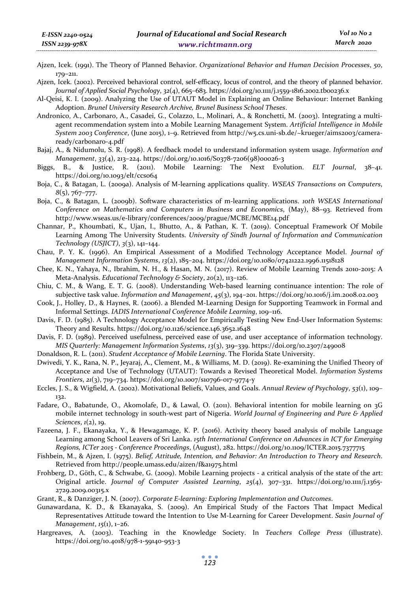- Ajzen, Icek. (1991). The Theory of Planned Behavior. *Organizational Behavior and Human Decision Processes*, *50*, 179–211.
- Ajzen, Icek. (2002). Perceived behavioral control, self-efficacy, locus of control, and the theory of planned behavior. *Journal of Applied Social Psychology*, *32*(4), 665–683. https://doi.org/10.1111/j.1559-1816.2002.tb00236.x
- Al-Qeisi, K. I. (2009). Analyzing the Use of UTAUT Model in Explaining an Online Behaviour: Internet Banking Adoption. *Brunel University Research Archive, Brunel Business School Theses*.
- Andronico, A., Carbonaro, A., Casadei, G., Colazzo, L., Molinari, A., & Ronchetti, M. (2003). Integrating a multiagent recommendation system into a Mobile Learning Management System. *Artificial Intelligence in Mobile System 2003 Conference*, (June 2015), 1–9. Retrieved from http://w5.cs.uni-sb.de/~krueger/aims2003/cameraready/carbonaro-4.pdf
- Bajaj, A., & Nidumolu, S. R. (1998). A feedback model to understand information system usage. *Information and Management*, *33*(4), 213–224. https://doi.org/10.1016/S0378-7206(98)00026-3
- Biggs, B., & Justice, R. (2011). Mobile Learning: The Next Evolution. *ELT Journal*, 38–41. https://doi.org/10.1093/elt/ccs064
- Boja, C., & Batagan, L. (2009a). Analysis of M-learning applications quality. *WSEAS Transactions on Computers*, *8*(5), 767–777.
- Boja, C., & Batagan, L. (2009b). Software characteristics of m-learning applications. *10th WSEAS International Conference on Mathematics and Computers in Business and Economics*, (May), 88–93. Retrieved from http://www.wseas.us/e-library/conferences/2009/prague/MCBE/MCBE14.pdf
- Channar, P., Khoumbati, K., Ujan, I., Bhutto, A., & Pathan, K. T. (2019). Conceptual Framework Of Mobile Learning Among The University Students. *University of Sindh Journal of Information and Communication Technology (USJICT)*, *3*(3), 141–144.
- Chau, P. Y. K. (1996). An Empirical Assessment of a Modified Technology Acceptance Model. *Journal of Management Information Systems*, *13*(2), 185–204. https://doi.org/10.1080/07421222.1996.11518128
- Chee, K. N., Yahaya, N., Ibrahim, N. H., & Hasan, M. N. (2017). Review of Mobile Learning Trends 2010-2015: A Meta-Analysis. *Educational Technology & Society*, *20*(2), 113–126.
- Chiu, C. M., & Wang, E. T. G. (2008). Understanding Web-based learning continuance intention: The role of subjective task value. *Information and Management*, *45*(3), 194–201. https://doi.org/10.1016/j.im.2008.02.003
- Cook, J., Holley, D., & Haynes, R. (2006). a Blended M-Learning Design for Supporting Teamwork in Formal and Informal Settings. *IADIS International Conference Mobile Learning*, 109–116.
- Davis, F. D. (1985). A Technology Acceptance Model for Empirically Testing New End-User Information Systems: Theory and Results. https://doi.org/10.1126/science.146.3652.1648
- Davis, F. D. (1989). Perceived usefulness, perceived ease of use, and user acceptance of information technology. *MIS Quarterly: Management Information Systems*, *13*(3), 319–339. https://doi.org/10.2307/249008
- Donaldson, R. L. (2011). *Student Acceptance of Mobile Learning*. The Florida State University.
- Dwivedi, Y. K., Rana, N. P., Jeyaraj, A., Clement, M., & Williams, M. D. (2019). Re-examining the Unified Theory of Acceptance and Use of Technology (UTAUT): Towards a Revised Theoretical Model. *Information Systems Frontiers*, *21*(3), 719–734. https://doi.org/10.1007/s10796-017-9774-y
- Eccles, J. S., & Wigfield, A. (2002). Motivational Beliefs, Values, and Goals. *Annual Review of Psychology*, *53*(1), 109– 132.
- Fadare, O., Babatunde, O., Akomolafe, D., & Lawal, O. (2011). Behavioral intention for mobile learning on 3G mobile internet technology in south-west part of Nigeria. *World Journal of Engineering and Pure & Applied Sciences*, *1*(2), 19.
- Fazeena, J. F., Ekanayaka, Y., & Hewagamage, K. P. (2016). Activity theory based analysis of mobile Language Learning among School Leavers of Sri Lanka. *15th International Conference on Advances in ICT for Emerging Regions, ICTer 2015 - Conference Proceedings*, (August), 282. https://doi.org/10.1109/ICTER.2015.7377715
- Fishbein, M., & Ajzen, I. (1975). *Belief, Attitude, Intention, and Behavior: An Introduction to Theory and Research*. Retrieved from http://people.umass.edu/aizen/f&a1975.html
- Frohberg, D., Göth, C., & Schwabe, G. (2009). Mobile Learning projects a critical analysis of the state of the art: Original article. *Journal of Computer Assisted Learning*, *25*(4), 307–331. https://doi.org/10.1111/j.1365- 2729.2009.00315.x
- Grant, R., & Danziger, J. N. (2007). *Corporate E-learning: Exploring Implementation and Outcomes*.
- Gunawardana, K. D., & Ekanayaka, S. (2009). An Empirical Study of the Factors That Impact Medical Representatives Attitude toward the Intention to Use M-Learning for Career Development. *Sasin Journal of Management*, *15*(1), 1–26.
- Hargreaves, A. (2003). Teaching in the Knowledge Society. In *Teachers College Press* (illustrate). https://doi.org/10.4018/978-1-59140-953-3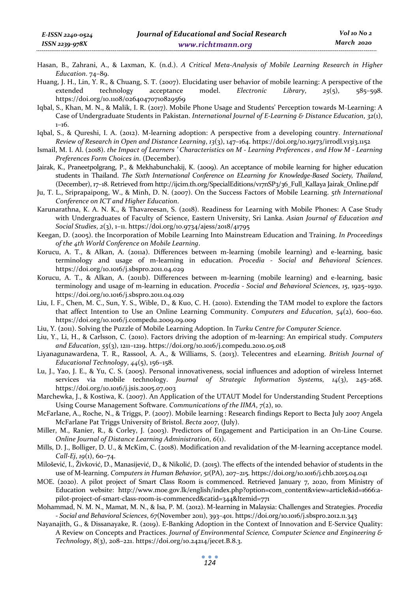- Hasan, B., Zahrani, A., & Laxman, K. (n.d.). *A Critical Meta-Analysis of Mobile Learning Research in Higher Education*. 74–89.
- Huang, J. H., Lin, Y. R., & Chuang, S. T. (2007). Elucidating user behavior of mobile learning: A perspective of the extended technology acceptance model. *Electronic Library*, *25*(5), 585–598. https://doi.org/10.1108/02640470710829569
- Iqbal, S., Khan, M. N., & Malik, I. R. (2017). Mobile Phone Usage and Students' Perception towards M-Learning: A Case of Undergraduate Students in Pakistan. *International Journal of E-Learning & Distance Education*, *32*(1), 1–16.
- Iqbal, S., & Qureshi, I. A. (2012). M-learning adoption: A perspective from a developing country. *International Review of Research in Open and Distance Learning*, *13*(3), 147–164. https://doi.org/10.19173/irrodl.v13i3.1152
- Ismail, M. I. Al. (2018). *the Impact of Learners ' Characteristics on M Learning Preferences , and How M Learning Preferences Form Choices in*. (December).
- Jairak, K., Praneetpolgrang, P., & Mekhabunchakij, K. (2009). An acceptance of mobile learning for higher education students in Thailand. *The Sixth International Conference on ELearning for Knowledge-Based Society, Thailand*, (December), 17–18. Retrieved from http://ijcim.th.org/SpecialEditions/v17nSP3/36\_Full\_Kallaya Jairak\_Online.pdf
- Ju, T. L., Sriprapaipong, W., & Minh, D. N. (2007). On the Success Factors of Mobile Learning. *5th International Conference on ICT and Higher Education*.
- Karunarathna, K. A. N. K., & Thavareesan, S. (2018). Readiness for Learning with Mobile Phones: A Case Study with Undergraduates of Faculty of Science, Eastern University, Sri Lanka. *Asian Journal of Education and Social Studies*, *2*(3), 1–11. https://doi.org/10.9734/ajess/2018/41795
- Keegan, D. (2005). the Incorporation of Mobile Learning Into Mainstream Education and Training. *In Proceedings of the 4th World Conference on Mobile Learning*.
- Korucu, A. T., & Alkan, A. (2011a). Differences between m-learning (mobile learning) and e-learning, basic terminology and usage of m-learning in education. *Procedia - Social and Behavioral Sciences*. https://doi.org/10.1016/j.sbspro.2011.04.029
- Korucu, A. T., & Alkan, A. (2011b). Differences between m-learning (mobile learning) and e-learning, basic terminology and usage of m-learning in education. *Procedia - Social and Behavioral Sciences*, *15*, 1925–1930. https://doi.org/10.1016/j.sbspro.2011.04.029
- Liu, I. F., Chen, M. C., Sun, Y. S., Wible, D., & Kuo, C. H. (2010). Extending the TAM model to explore the factors that affect Intention to Use an Online Learning Community. *Computers and Education*, *54*(2), 600–610. https://doi.org/10.1016/j.compedu.2009.09.009
- Liu, Y. (2011). Solving the Puzzle of Mobile Learning Adoption. In *Turku Centre for Computer Science*.
- Liu, Y., Li, H., & Carlsson, C. (2010). Factors driving the adoption of m-learning: An empirical study. *Computers and Education*, *55*(3), 1211–1219. https://doi.org/10.1016/j.compedu.2010.05.018
- Liyanagunawardena, T. R., Rassool, A. A., & Williams, S. (2013). Telecentres and eLearning. *British Journal of Educational Technology*, *44*(5), 156–158.
- Lu, J., Yao, J. E., & Yu, C. S. (2005). Personal innovativeness, social influences and adoption of wireless Internet services via mobile technology. *Journal of Strategic Information Systems*, *14*(3), 245–268. https://doi.org/10.1016/j.jsis.2005.07.003
- Marchewka, J., & Kostiwa, K. (2007). An Application of the UTAUT Model for Understanding Student Perceptions Using Course Management Software. *Communications of the IIMA*, *7*(2), 10.
- McFarlane, A., Roche, N., & Triggs, P. (2007). Mobile learning : Research findings Report to Becta July 2007 Angela McFarlane Pat Triggs University of Bristol. *Becta 2007*, (July).
- Miller, M., Ranier, R., & Corley, J. (2003). Predictors of Engagement and Participation in an On-Line Course. *Online Journal of Distance Learning Administration*, *6*(1).
- Mills, D. J., Bolliger, D. U., & McKim, C. (2018). Modification and revalidation of the M-learning acceptance model. *Call-Ej*, *19*(1), 60–74.
- Milošević, I., Živković, D., Manasijević, D., & Nikolić, D. (2015). The effects of the intended behavior of students in the use of M-learning. *Computers in Human Behavior*, *51*(PA), 207–215. https://doi.org/10.1016/j.chb.2015.04.041
- MOE. (2020). A pilot project of Smart Class Room is commenced. Retrieved January 7, 2020, from Ministry of Education website: http://www.moe.gov.lk/english/index.php?option=com\_content&view=article&id=1666:apilot-project-of-smart-class-room-is-commenced&catid=344&Itemid=771
- Mohammad, N. M. N., Mamat, M. N., & Isa, P. M. (2012). M-learning in Malaysia: Challenges and Strategies. *Procedia - Social and Behavioral Sciences*, *67*(November 2011), 393–401. https://doi.org/10.1016/j.sbspro.2012.11.343
- Nayanajith, G., & Dissanayake, R. (2019). E-Banking Adoption in the Context of Innovation and E-Service Quality: A Review on Concepts and Practices. *Journal of Environmental Science, Computer Science and Engineering & Technology*, *8*(3), 208–221. https://doi.org/10.24214/jecet.B.8.3.